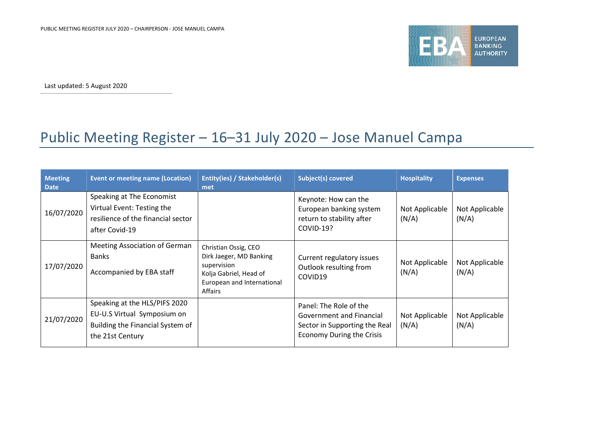

Last updated: 5 August 2020

## Public Meeting Register – 16–31 July 2020 – Jose Manuel Campa

| <b>Meeting</b><br><b>Date</b> | <b>Event or meeting name (Location)</b>                                                                              | Entity(ies) / Stakeholder(s)<br>met                                                                                               | Subject(s) covered                                                                                                      | <b>Hospitality</b>      | <b>Expenses</b>         |
|-------------------------------|----------------------------------------------------------------------------------------------------------------------|-----------------------------------------------------------------------------------------------------------------------------------|-------------------------------------------------------------------------------------------------------------------------|-------------------------|-------------------------|
| 16/07/2020                    | Speaking at The Economist<br>Virtual Event: Testing the<br>resilience of the financial sector<br>after Covid-19      |                                                                                                                                   | Keynote: How can the<br>European banking system<br>return to stability after<br><b>COVID-19?</b>                        | Not Applicable<br>(N/A) | Not Applicable<br>(N/A) |
| 17/07/2020                    | <b>Meeting Association of German</b><br>Banks<br>Accompanied by EBA staff                                            | Christian Ossig, CEO<br>Dirk Jaeger, MD Banking<br>supervision<br>Kolja Gabriel, Head of<br>European and International<br>Affairs | Current regulatory issues<br>Outlook resulting from<br>COVID19                                                          | Not Applicable<br>(N/A) | Not Applicable<br>(N/A) |
| 21/07/2020                    | Speaking at the HLS/PIFS 2020<br>EU-U.S Virtual Symposium on<br>Building the Financial System of<br>the 21st Century |                                                                                                                                   | Panel: The Role of the<br>Government and Financial<br>Sector in Supporting the Real<br><b>Economy During the Crisis</b> | Not Applicable<br>(N/A) | Not Applicable<br>(N/A) |